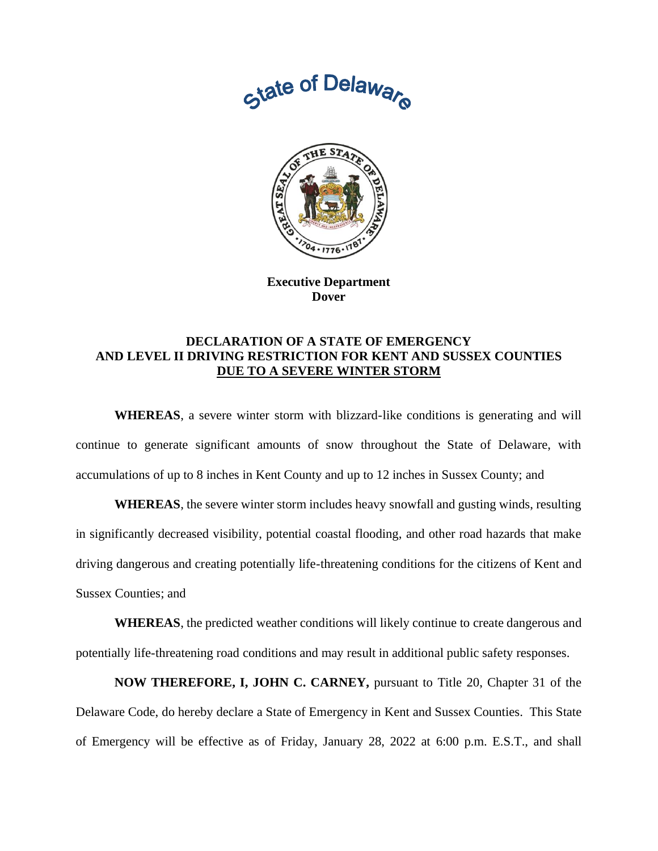



**Executive Department Dover**

## **DECLARATION OF A STATE OF EMERGENCY AND LEVEL II DRIVING RESTRICTION FOR KENT AND SUSSEX COUNTIES DUE TO A SEVERE WINTER STORM**

**WHEREAS**, a severe winter storm with blizzard-like conditions is generating and will continue to generate significant amounts of snow throughout the State of Delaware, with accumulations of up to 8 inches in Kent County and up to 12 inches in Sussex County; and

**WHEREAS**, the severe winter storm includes heavy snowfall and gusting winds, resulting in significantly decreased visibility, potential coastal flooding, and other road hazards that make driving dangerous and creating potentially life-threatening conditions for the citizens of Kent and Sussex Counties; and

**WHEREAS**, the predicted weather conditions will likely continue to create dangerous and potentially life-threatening road conditions and may result in additional public safety responses.

**NOW THEREFORE, I, JOHN C. CARNEY,** pursuant to Title 20, Chapter 31 of the Delaware Code, do hereby declare a State of Emergency in Kent and Sussex Counties. This State of Emergency will be effective as of Friday, January 28, 2022 at 6:00 p.m. E.S.T., and shall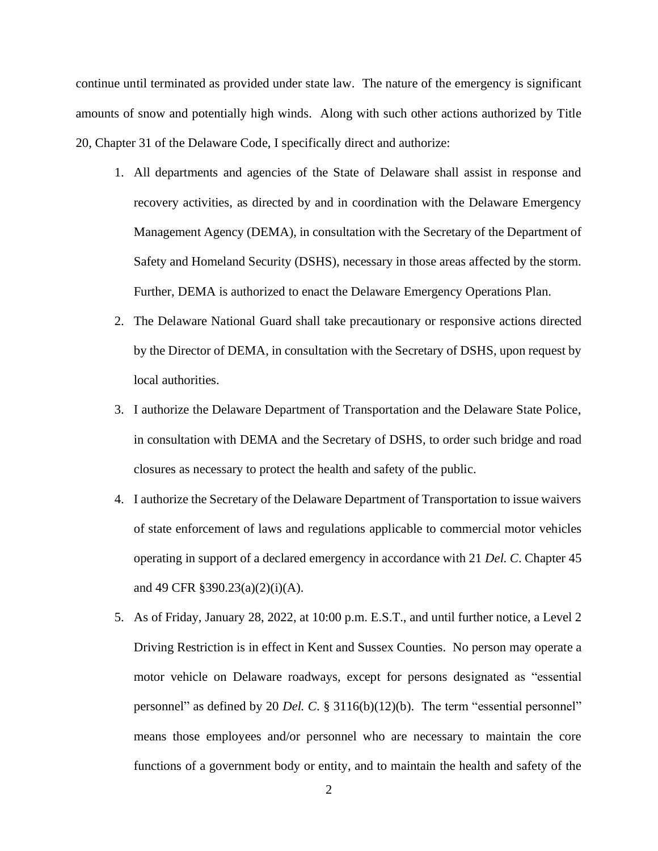continue until terminated as provided under state law. The nature of the emergency is significant amounts of snow and potentially high winds. Along with such other actions authorized by Title 20, Chapter 31 of the Delaware Code, I specifically direct and authorize:

- 1. All departments and agencies of the State of Delaware shall assist in response and recovery activities, as directed by and in coordination with the Delaware Emergency Management Agency (DEMA), in consultation with the Secretary of the Department of Safety and Homeland Security (DSHS), necessary in those areas affected by the storm. Further, DEMA is authorized to enact the Delaware Emergency Operations Plan.
- 2. The Delaware National Guard shall take precautionary or responsive actions directed by the Director of DEMA, in consultation with the Secretary of DSHS, upon request by local authorities.
- 3. I authorize the Delaware Department of Transportation and the Delaware State Police, in consultation with DEMA and the Secretary of DSHS, to order such bridge and road closures as necessary to protect the health and safety of the public.
- 4. I authorize the Secretary of the Delaware Department of Transportation to issue waivers of state enforcement of laws and regulations applicable to commercial motor vehicles operating in support of a declared emergency in accordance with 21 *Del. C*. Chapter 45 and 49 CFR §390.23(a)(2)(i)(A).
- 5. As of Friday, January 28, 2022, at 10:00 p.m. E.S.T., and until further notice, a Level 2 Driving Restriction is in effect in Kent and Sussex Counties. No person may operate a motor vehicle on Delaware roadways, except for persons designated as "essential personnel" as defined by 20 *Del. C*. § 3116(b)(12)(b). The term "essential personnel" means those employees and/or personnel who are necessary to maintain the core functions of a government body or entity, and to maintain the health and safety of the